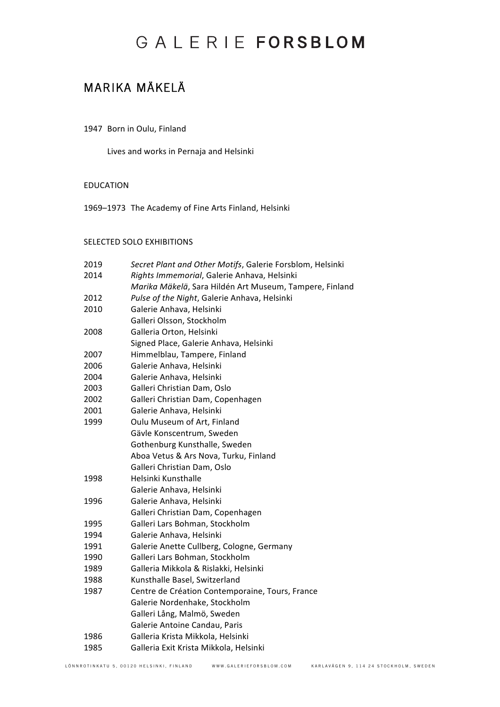### MARIKA MÄKELÄ

### 1947 Born in Oulu, Finland

Lives and works in Pernaja and Helsinki

### EDUCATION

1969–1973 The Academy of Fine Arts Finland, Helsinki

### SELECTED SOLO EXHIBITIONS

| 2019 | Secret Plant and Other Motifs, Galerie Forsblom, Helsinki |
|------|-----------------------------------------------------------|
| 2014 | Rights Immemorial, Galerie Anhava, Helsinki               |
|      | Marika Mäkelä, Sara Hildén Art Museum, Tampere, Finland   |
| 2012 | Pulse of the Night, Galerie Anhava, Helsinki              |
| 2010 | Galerie Anhava, Helsinki                                  |
|      | Galleri Olsson, Stockholm                                 |
| 2008 | Galleria Orton, Helsinki                                  |
|      | Signed Place, Galerie Anhava, Helsinki                    |
| 2007 | Himmelblau, Tampere, Finland                              |
| 2006 | Galerie Anhava, Helsinki                                  |
| 2004 | Galerie Anhava, Helsinki                                  |
| 2003 | Galleri Christian Dam, Oslo                               |
| 2002 | Galleri Christian Dam, Copenhagen                         |
| 2001 | Galerie Anhava, Helsinki                                  |
| 1999 | Oulu Museum of Art, Finland                               |
|      | Gävle Konscentrum, Sweden                                 |
|      | Gothenburg Kunsthalle, Sweden                             |
|      | Aboa Vetus & Ars Nova, Turku, Finland                     |
|      | Galleri Christian Dam, Oslo                               |
| 1998 | Helsinki Kunsthalle                                       |
|      | Galerie Anhava, Helsinki                                  |
| 1996 | Galerie Anhava, Helsinki                                  |
|      | Galleri Christian Dam, Copenhagen                         |
| 1995 | Galleri Lars Bohman, Stockholm                            |
| 1994 | Galerie Anhava, Helsinki                                  |
| 1991 | Galerie Anette Cullberg, Cologne, Germany                 |
| 1990 | Galleri Lars Bohman, Stockholm                            |
| 1989 | Galleria Mikkola & Rislakki, Helsinki                     |
| 1988 | Kunsthalle Basel, Switzerland                             |
| 1987 | Centre de Création Contemporaine, Tours, France           |
|      | Galerie Nordenhake, Stockholm                             |
|      | Galleri Lång, Malmö, Sweden                               |
|      | Galerie Antoine Candau, Paris                             |
| 1986 | Galleria Krista Mikkola, Helsinki                         |
| 1985 | Galleria Exit Krista Mikkola, Helsinki                    |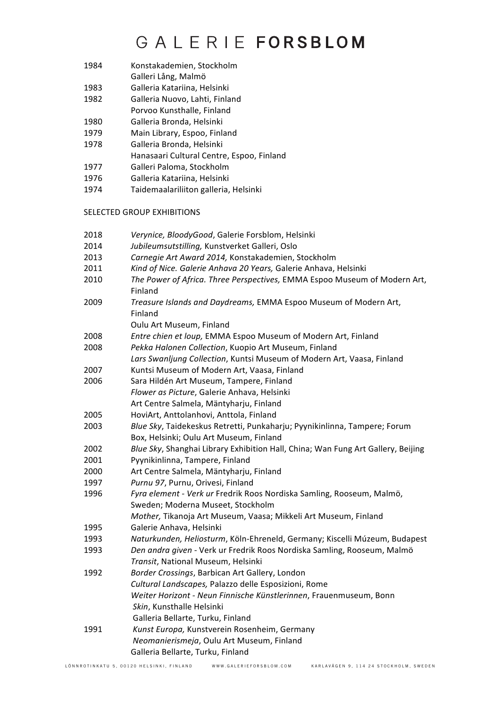- 1984 Konstakademien, Stockholm
- Galleri Lång, Malmö
- 1983 Galleria Katariina, Helsinki
- 1982 **Galleria Nuovo, Lahti, Finland**
- Porvoo Kunsthalle, Finland
- 1980 Galleria Bronda, Helsinki
- 1979 Main Library, Espoo, Finland
- 1978 Galleria Bronda, Helsinki
- Hanasaari Cultural Centre, Espoo, Finland
- 1977 Galleri Paloma, Stockholm
- 1976 Galleria Katariina, Helsinki
- 1974 Taidemaalariliiton galleria, Helsinki

### **SELECTED GROUP EXHIBITIONS**

| 2018 | Verynice, BloodyGood, Galerie Forsblom, Helsinki                                 |
|------|----------------------------------------------------------------------------------|
| 2014 | Jubileumsutstilling, Kunstverket Galleri, Oslo                                   |
| 2013 | Carnegie Art Award 2014, Konstakademien, Stockholm                               |
| 2011 | Kind of Nice. Galerie Anhava 20 Years, Galerie Anhava, Helsinki                  |
| 2010 | The Power of Africa. Three Perspectives, EMMA Espoo Museum of Modern Art,        |
|      | Finland                                                                          |
| 2009 | Treasure Islands and Daydreams, EMMA Espoo Museum of Modern Art,<br>Finland      |
|      | Oulu Art Museum, Finland                                                         |
| 2008 | Entre chien et loup, EMMA Espoo Museum of Modern Art, Finland                    |
| 2008 | Pekka Halonen Collection, Kuopio Art Museum, Finland                             |
|      | Lars Swanljung Collection, Kuntsi Museum of Modern Art, Vaasa, Finland           |
| 2007 | Kuntsi Museum of Modern Art, Vaasa, Finland                                      |
| 2006 | Sara Hildén Art Museum, Tampere, Finland                                         |
|      | Flower as Picture, Galerie Anhava, Helsinki                                      |
|      | Art Centre Salmela, Mäntyharju, Finland                                          |
| 2005 | HoviArt, Anttolanhovi, Anttola, Finland                                          |
| 2003 | Blue Sky, Taidekeskus Retretti, Punkaharju; Pyynikinlinna, Tampere; Forum        |
|      | Box, Helsinki; Oulu Art Museum, Finland                                          |
| 2002 | Blue Sky, Shanghai Library Exhibition Hall, China; Wan Fung Art Gallery, Beijing |
| 2001 | Pyynikinlinna, Tampere, Finland                                                  |
| 2000 | Art Centre Salmela, Mäntyharju, Finland                                          |
| 1997 | Purnu 97, Purnu, Orivesi, Finland                                                |
| 1996 | Fyra element - Verk ur Fredrik Roos Nordiska Samling, Rooseum, Malmö,            |
|      | Sweden; Moderna Museet, Stockholm                                                |
|      | Mother, Tikanoja Art Museum, Vaasa; Mikkeli Art Museum, Finland                  |
| 1995 | Galerie Anhava, Helsinki                                                         |
| 1993 | Naturkunden, Heliosturm, Köln-Ehreneld, Germany; Kiscelli Múzeum, Budapest       |
| 1993 | Den andra given - Verk ur Fredrik Roos Nordiska Samling, Rooseum, Malmö          |
|      | Transit, National Museum, Helsinki                                               |
| 1992 | Border Crossings, Barbican Art Gallery, London                                   |
|      | Cultural Landscapes, Palazzo delle Esposizioni, Rome                             |
|      | Weiter Horizont - Neun Finnische Künstlerinnen, Frauenmuseum, Bonn               |
|      | Skin, Kunsthalle Helsinki                                                        |
|      | Galleria Bellarte, Turku, Finland                                                |
| 1991 | Kunst Europa, Kunstverein Rosenheim, Germany                                     |
|      | Neomanierismeja, Oulu Art Museum, Finland                                        |
|      | Galleria Bellarte, Turku, Finland                                                |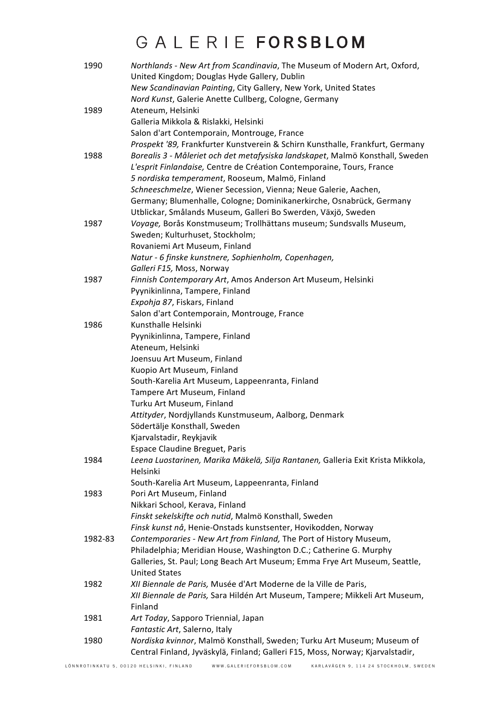| 1990    | Northlands - New Art from Scandinavia, The Museum of Modern Art, Oxford,<br>United Kingdom; Douglas Hyde Gallery, Dublin<br>New Scandinavian Painting, City Gallery, New York, United States |
|---------|----------------------------------------------------------------------------------------------------------------------------------------------------------------------------------------------|
|         | Nord Kunst, Galerie Anette Cullberg, Cologne, Germany                                                                                                                                        |
| 1989    | Ateneum, Helsinki                                                                                                                                                                            |
|         | Galleria Mikkola & Rislakki, Helsinki                                                                                                                                                        |
|         | Salon d'art Contemporain, Montrouge, France                                                                                                                                                  |
|         | Prospekt '89, Frankfurter Kunstverein & Schirn Kunsthalle, Frankfurt, Germany                                                                                                                |
| 1988    | Borealis 3 - Måleriet och det metafysiska landskapet, Malmö Konsthall, Sweden                                                                                                                |
|         | L'esprit Finlandaise, Centre de Création Contemporaine, Tours, France                                                                                                                        |
|         | 5 nordiska temperament, Rooseum, Malmö, Finland                                                                                                                                              |
|         | Schneeschmelze, Wiener Secession, Vienna; Neue Galerie, Aachen,                                                                                                                              |
|         | Germany; Blumenhalle, Cologne; Dominikanerkirche, Osnabrück, Germany                                                                                                                         |
|         | Utblickar, Smålands Museum, Galleri Bo Swerden, Växjö, Sweden                                                                                                                                |
| 1987    | Voyage, Borås Konstmuseum; Trollhättans museum; Sundsvalls Museum,                                                                                                                           |
|         | Sweden; Kulturhuset, Stockholm;                                                                                                                                                              |
|         | Rovaniemi Art Museum, Finland                                                                                                                                                                |
|         | Natur - 6 finske kunstnere, Sophienholm, Copenhagen,                                                                                                                                         |
|         | Galleri F15, Moss, Norway                                                                                                                                                                    |
| 1987    | Finnish Contemporary Art, Amos Anderson Art Museum, Helsinki                                                                                                                                 |
|         | Pyynikinlinna, Tampere, Finland                                                                                                                                                              |
|         | Expohja 87, Fiskars, Finland                                                                                                                                                                 |
|         | Salon d'art Contemporain, Montrouge, France                                                                                                                                                  |
| 1986    | Kunsthalle Helsinki                                                                                                                                                                          |
|         | Pyynikinlinna, Tampere, Finland                                                                                                                                                              |
|         | Ateneum, Helsinki                                                                                                                                                                            |
|         | Joensuu Art Museum, Finland                                                                                                                                                                  |
|         | Kuopio Art Museum, Finland                                                                                                                                                                   |
|         | South-Karelia Art Museum, Lappeenranta, Finland                                                                                                                                              |
|         | Tampere Art Museum, Finland                                                                                                                                                                  |
|         | Turku Art Museum, Finland                                                                                                                                                                    |
|         | Attityder, Nordjyllands Kunstmuseum, Aalborg, Denmark                                                                                                                                        |
|         | Södertälje Konsthall, Sweden                                                                                                                                                                 |
|         | Kjarvalstadir, Reykjavik                                                                                                                                                                     |
|         | <b>Espace Claudine Breguet, Paris</b>                                                                                                                                                        |
| 1984    | Leena Luostarinen, Marika Mäkelä, Silja Rantanen, Galleria Exit Krista Mikkola,                                                                                                              |
|         | Helsinki                                                                                                                                                                                     |
|         | South-Karelia Art Museum, Lappeenranta, Finland                                                                                                                                              |
| 1983    | Pori Art Museum, Finland                                                                                                                                                                     |
|         | Nikkari School, Kerava, Finland                                                                                                                                                              |
|         | Finskt sekelskifte och nutid, Malmö Konsthall, Sweden                                                                                                                                        |
|         | Finsk kunst nå, Henie-Onstads kunstsenter, Hovikodden, Norway                                                                                                                                |
| 1982-83 | Contemporaries - New Art from Finland, The Port of History Museum,                                                                                                                           |
|         | Philadelphia; Meridian House, Washington D.C.; Catherine G. Murphy                                                                                                                           |
|         | Galleries, St. Paul; Long Beach Art Museum; Emma Frye Art Museum, Seattle,                                                                                                                   |
|         | <b>United States</b>                                                                                                                                                                         |
| 1982    | XII Biennale de Paris, Musée d'Art Moderne de la Ville de Paris,                                                                                                                             |
|         | XII Biennale de Paris, Sara Hildén Art Museum, Tampere; Mikkeli Art Museum,                                                                                                                  |
|         | Finland                                                                                                                                                                                      |
| 1981    | Art Today, Sapporo Triennial, Japan                                                                                                                                                          |
|         | Fantastic Art, Salerno, Italy                                                                                                                                                                |
| 1980    | Nordiska kvinnor, Malmö Konsthall, Sweden; Turku Art Museum; Museum of                                                                                                                       |
|         | Central Finland, Jyväskylä, Finland; Galleri F15, Moss, Norway; Kjarvalstadir,                                                                                                               |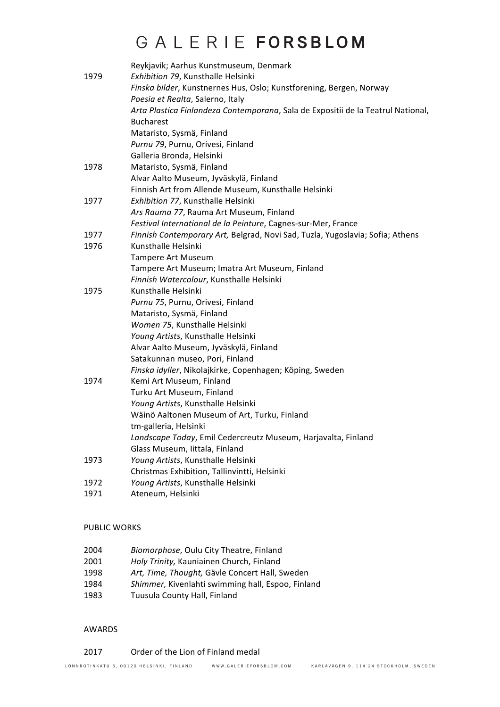|      | Reykjavik; Aarhus Kunstmuseum, Denmark                                           |
|------|----------------------------------------------------------------------------------|
| 1979 | Exhibition 79, Kunsthalle Helsinki                                               |
|      | Finska bilder, Kunstnernes Hus, Oslo; Kunstforening, Bergen, Norway              |
|      | Poesia et Realta, Salerno, Italy                                                 |
|      | Arta Plastica Finlandeza Contemporana, Sala de Expositii de la Teatrul National, |
|      | <b>Bucharest</b>                                                                 |
|      | Mataristo, Sysmä, Finland                                                        |
|      | Purnu 79, Purnu, Orivesi, Finland                                                |
|      | Galleria Bronda, Helsinki                                                        |
| 1978 | Mataristo, Sysmä, Finland                                                        |
|      | Alvar Aalto Museum, Jyväskylä, Finland                                           |
|      | Finnish Art from Allende Museum, Kunsthalle Helsinki                             |
| 1977 | Exhibition 77, Kunsthalle Helsinki                                               |
|      | Ars Rauma 77, Rauma Art Museum, Finland                                          |
|      | Festival International de la Peinture, Cagnes-sur-Mer, France                    |
| 1977 | Finnish Contemporary Art, Belgrad, Novi Sad, Tuzla, Yugoslavia; Sofia; Athens    |
| 1976 | Kunsthalle Helsinki                                                              |
|      | Tampere Art Museum                                                               |
|      | Tampere Art Museum; Imatra Art Museum, Finland                                   |
|      | Finnish Watercolour, Kunsthalle Helsinki                                         |
| 1975 | Kunsthalle Helsinki                                                              |
|      | Purnu 75, Purnu, Orivesi, Finland                                                |
|      | Mataristo, Sysmä, Finland                                                        |
|      | Women 75, Kunsthalle Helsinki                                                    |
|      | Young Artists, Kunsthalle Helsinki                                               |
|      | Alvar Aalto Museum, Jyväskylä, Finland                                           |
|      | Satakunnan museo, Pori, Finland                                                  |
|      | Finska idyller, Nikolajkirke, Copenhagen; Köping, Sweden                         |
| 1974 | Kemi Art Museum, Finland                                                         |
|      | Turku Art Museum, Finland                                                        |
|      | Young Artists, Kunsthalle Helsinki                                               |
|      | Wäinö Aaltonen Museum of Art, Turku, Finland                                     |
|      | tm-galleria, Helsinki                                                            |
|      | Landscape Today, Emil Cedercreutz Museum, Harjavalta, Finland                    |
|      | Glass Museum, Iittala, Finland                                                   |
| 1973 | Young Artists, Kunsthalle Helsinki                                               |
|      | Christmas Exhibition, Tallinvintti, Helsinki                                     |
| 1972 | Young Artists, Kunsthalle Helsinki                                               |
| 1971 | Ateneum, Helsinki                                                                |
|      |                                                                                  |

### PUBLIC WORKS

- 2004 *Biomorphose*, Oulu City Theatre, Finland
- 2001 *Holy Trinity,* Kauniainen Church, Finland
- 1998 Art, Time, Thought, Gävle Concert Hall, Sweden
- 1984 Shimmer, Kivenlahti swimming hall, Espoo, Finland
- 1983 Tuusula County Hall, Finland

### AWARDS

2017 Order of the Lion of Finland medal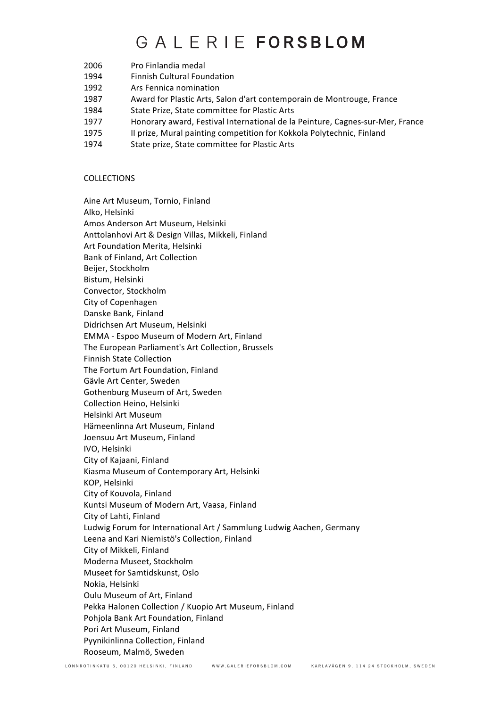# GAIFRIFFORSBIOM

- 2006 Pro Finlandia medal
- 1994 Finnish Cultural Foundation
- 1992 Ars Fennica nomination
- 1987 Award for Plastic Arts, Salon d'art contemporain de Montrouge, France
- 1984 State Prize, State committee for Plastic Arts
- 1977 Honorary award, Festival International de la Peinture, Cagnes-sur-Mer, France
- 1975 II prize, Mural painting competition for Kokkola Polytechnic, Finland
- 1974 State prize, State committee for Plastic Arts

#### COLLECTIONS

Aine Art Museum, Tornio, Finland Alko, Helsinki Amos Anderson Art Museum, Helsinki Anttolanhovi Art & Design Villas, Mikkeli, Finland Art Foundation Merita, Helsinki Bank of Finland, Art Collection Beijer, Stockholm Bistum, Helsinki Convector, Stockholm City of Copenhagen Danske Bank, Finland Didrichsen Art Museum, Helsinki EMMA - Espoo Museum of Modern Art, Finland The European Parliament's Art Collection, Brussels Finnish State Collection The Fortum Art Foundation, Finland Gävle Art Center, Sweden Gothenburg Museum of Art, Sweden Collection Heino, Helsinki Helsinki Art Museum Hämeenlinna Art Museum, Finland Joensuu Art Museum, Finland IVO, Helsinki City of Kajaani, Finland Kiasma Museum of Contemporary Art, Helsinki KOP, Helsinki City of Kouvola, Finland Kuntsi Museum of Modern Art, Vaasa, Finland City of Lahti, Finland Ludwig Forum for International Art / Sammlung Ludwig Aachen, Germany Leena and Kari Niemistö's Collection, Finland City of Mikkeli, Finland Moderna Museet, Stockholm Museet for Samtidskunst, Oslo Nokia, Helsinki Oulu Museum of Art, Finland Pekka Halonen Collection / Kuopio Art Museum, Finland Pohjola Bank Art Foundation, Finland Pori Art Museum, Finland Pyynikinlinna Collection, Finland Rooseum, Malmö, Sweden